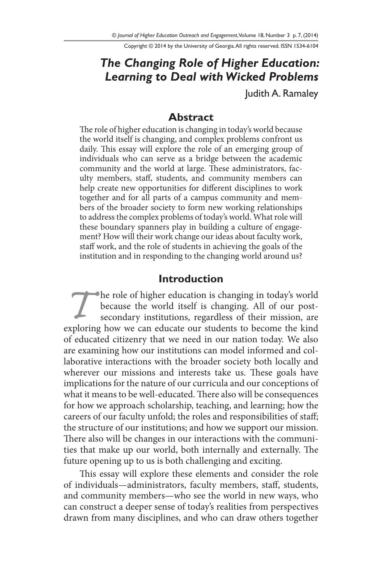Copyright © 2014 by the University of Georgia. All rights reserved. ISSN 1534-6104

# *The Changing Role of Higher Education: Learning to Deal with Wicked Problems*

Judith A. Ramaley

#### **Abstract**

The role of higher education is changing in today's world because the world itself is changing, and complex problems confront us daily. This essay will explore the role of an emerging group of individuals who can serve as a bridge between the academic community and the world at large. These administrators, faculty members, staff, students, and community members can help create new opportunities for different disciplines to work together and for all parts of a campus community and members of the broader society to form new working relationships to address the complex problems of today's world. What role will these boundary spanners play in building a culture of engagement? How will their work change our ideas about faculty work, staff work, and the role of students in achieving the goals of the institution and in responding to the changing world around us?

#### **Introduction**

The role of higher education is changing in today's world because the world itself is changing. All of our postsecondary institutions, regardless of their mission, are exploring how we can educate our students to become the kind of educated citizenry that we need in our nation today. We also are examining how our institutions can model informed and collaborative interactions with the broader society both locally and wherever our missions and interests take us. These goals have implications for the nature of our curricula and our conceptions of what it means to be well-educated. There also will be consequences for how we approach scholarship, teaching, and learning; how the careers of our faculty unfold; the roles and responsibilities of staff; the structure of our institutions; and how we support our mission. There also will be changes in our interactions with the communities that make up our world, both internally and externally. The future opening up to us is both challenging and exciting.

This essay will explore these elements and consider the role of individuals—administrators, faculty members, staff, students, and community members—who see the world in new ways, who can construct a deeper sense of today's realities from perspectives drawn from many disciplines, and who can draw others together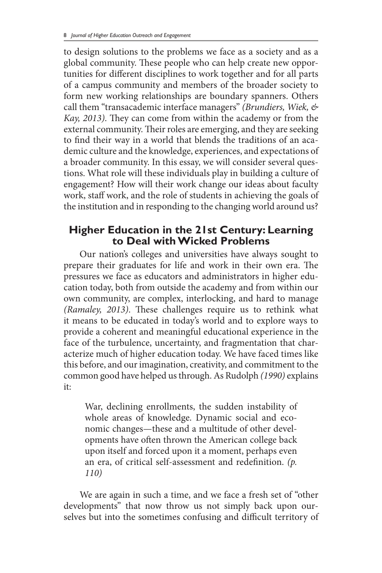to design solutions to the problems we face as a society and as a global community. These people who can help create new opportunities for different disciplines to work together and for all parts of a campus community and members of the broader society to form new working relationships are boundary spanners. Others call them "transacademic interface managers" *(Brundiers, Wiek, & Kay, 2013)*. They can come from within the academy or from the external community. Their roles are emerging, and they are seeking to find their way in a world that blends the traditions of an academic culture and the knowledge, experiences, and expectations of a broader community. In this essay, we will consider several questions. What role will these individuals play in building a culture of engagement? How will their work change our ideas about faculty work, staff work, and the role of students in achieving the goals of the institution and in responding to the changing world around us?

### **Higher Education in the 21st Century: Learning to Deal with Wicked Problems**

Our nation's colleges and universities have always sought to prepare their graduates for life and work in their own era. The pressures we face as educators and administrators in higher education today, both from outside the academy and from within our own community, are complex, interlocking, and hard to manage *(Ramaley, 2013)*. These challenges require us to rethink what it means to be educated in today's world and to explore ways to provide a coherent and meaningful educational experience in the face of the turbulence, uncertainty, and fragmentation that characterize much of higher education today. We have faced times like this before, and our imagination, creativity, and commitment to the common good have helped us through. As Rudolph *(1990)* explains it:

War, declining enrollments, the sudden instability of whole areas of knowledge. Dynamic social and economic changes—these and a multitude of other developments have often thrown the American college back upon itself and forced upon it a moment, perhaps even an era, of critical self-assessment and redefinition. *(p. 110)*

We are again in such a time, and we face a fresh set of "other developments" that now throw us not simply back upon ourselves but into the sometimes confusing and difficult territory of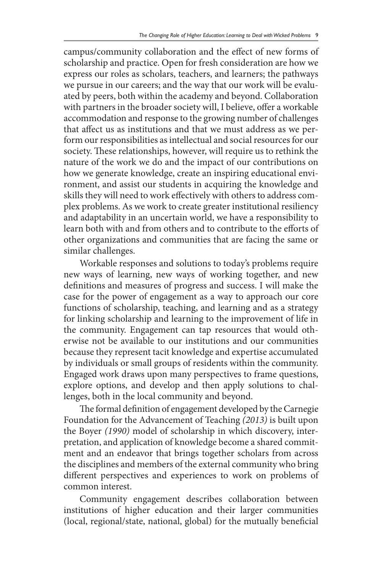campus/community collaboration and the effect of new forms of scholarship and practice. Open for fresh consideration are how we express our roles as scholars, teachers, and learners; the pathways we pursue in our careers; and the way that our work will be evaluated by peers, both within the academy and beyond. Collaboration with partners in the broader society will, I believe, offer a workable accommodation and response to the growing number of challenges that affect us as institutions and that we must address as we perform our responsibilities as intellectual and social resources for our society. These relationships, however, will require us to rethink the nature of the work we do and the impact of our contributions on how we generate knowledge, create an inspiring educational environment, and assist our students in acquiring the knowledge and skills they will need to work effectively with others to address complex problems. As we work to create greater institutional resiliency and adaptability in an uncertain world, we have a responsibility to learn both with and from others and to contribute to the efforts of other organizations and communities that are facing the same or similar challenges.

Workable responses and solutions to today's problems require new ways of learning, new ways of working together, and new definitions and measures of progress and success. I will make the case for the power of engagement as a way to approach our core functions of scholarship, teaching, and learning and as a strategy for linking scholarship and learning to the improvement of life in the community. Engagement can tap resources that would otherwise not be available to our institutions and our communities because they represent tacit knowledge and expertise accumulated by individuals or small groups of residents within the community. Engaged work draws upon many perspectives to frame questions, explore options, and develop and then apply solutions to challenges, both in the local community and beyond.

The formal definition of engagement developed by the Carnegie Foundation for the Advancement of Teaching *(2013)* is built upon the Boyer *(1990)* model of scholarship in which discovery, interpretation, and application of knowledge become a shared commitment and an endeavor that brings together scholars from across the disciplines and members of the external community who bring different perspectives and experiences to work on problems of common interest.

Community engagement describes collaboration between institutions of higher education and their larger communities (local, regional/state, national, global) for the mutually beneficial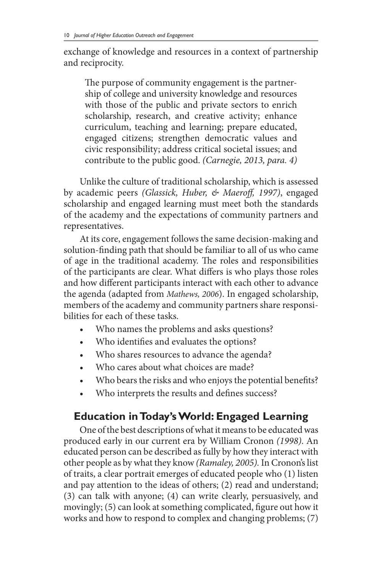exchange of knowledge and resources in a context of partnership and reciprocity.

The purpose of community engagement is the partnership of college and university knowledge and resources with those of the public and private sectors to enrich scholarship, research, and creative activity; enhance curriculum, teaching and learning; prepare educated, engaged citizens; strengthen democratic values and civic responsibility; address critical societal issues; and contribute to the public good. *(Carnegie, 2013, para. 4)*

Unlike the culture of traditional scholarship, which is assessed by academic peers *(Glassick, Huber, & Maeroff, 1997)*, engaged scholarship and engaged learning must meet both the standards of the academy and the expectations of community partners and representatives.

At its core, engagement follows the same decision-making and solution-finding path that should be familiar to all of us who came of age in the traditional academy. The roles and responsibilities of the participants are clear. What differs is who plays those roles and how different participants interact with each other to advance the agenda (adapted from *Mathews, 2006*). In engaged scholarship, members of the academy and community partners share responsibilities for each of these tasks.

- Who names the problems and asks questions?
- Who identifies and evaluates the options?
- Who shares resources to advance the agenda?
- Who cares about what choices are made?
- Who bears the risks and who enjoys the potential benefits?
- Who interprets the results and defines success?

# **Education in Today's World: Engaged Learning**

One of the best descriptions of what it means to be educated was produced early in our current era by William Cronon *(1998)*. An educated person can be described as fully by how they interact with other people as by what they know *(Ramaley, 2005).* In Cronon's list of traits, a clear portrait emerges of educated people who (1) listen and pay attention to the ideas of others; (2) read and understand; (3) can talk with anyone; (4) can write clearly, persuasively, and movingly; (5) can look at something complicated, figure out how it works and how to respond to complex and changing problems; (7)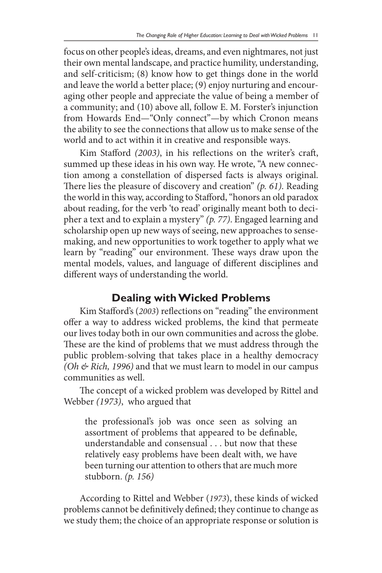focus on other people'sideas, dreams, and even nightmares, not just their own mental landscape, and practice humility, understanding, and self-criticism; (8) know how to get things done in the world and leave the world a better place; (9) enjoy nurturing and encouraging other people and appreciate the value of being a member of a community; and (10) above all, follow E. M. Forster's injunction from Howards End—"Only connect"—by which Cronon means the ability to see the connections that allow us to make sense of the world and to act within it in creative and responsible ways.

Kim Stafford *(2003)*, in his reflections on the writer's craft, summed up these ideas in his own way. He wrote, "A new connection among a constellation of dispersed facts is always original. There lies the pleasure of discovery and creation" *(p. 61)*. Reading the world in this way, according to Stafford, "honors an old paradox about reading, for the verb 'to read' originally meant both to decipher a text and to explain a mystery" *(p. 77)*. Engaged learning and scholarship open up new ways of seeing, new approaches to sensemaking, and new opportunities to work together to apply what we learn by "reading" our environment. These ways draw upon the mental models, values, and language of different disciplines and different ways of understanding the world.

### **Dealing with Wicked Problems**

Kim Stafford's (*2003*) reflections on "reading" the environment offer a way to address wicked problems, the kind that permeate our lives today both in our own communities and across the globe. These are the kind of problems that we must address through the public problem-solving that takes place in a healthy democracy *(Oh & Rich, 1996)* and that we must learn to model in our campus communities as well.

The concept of a wicked problem was developed by Rittel and Webber *(1973)*, who argued that

the professional's job was once seen as solving an assortment of problems that appeared to be definable, understandable and consensual . . . but now that these relatively easy problems have been dealt with, we have been turning our attention to others that are much more stubborn. *(p. 156)*

According to Rittel and Webber (*1973*), these kinds of wicked problems cannot be definitively defined; they continue to change as we study them; the choice of an appropriate response or solution is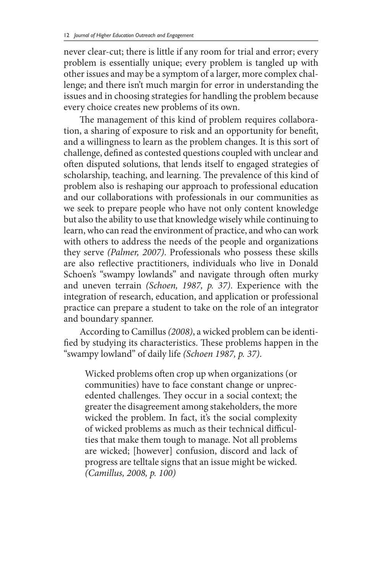never clear-cut; there is little if any room for trial and error; every problem is essentially unique; every problem is tangled up with other issues and may be a symptom of a larger, more complex challenge; and there isn't much margin for error in understanding the issues and in choosing strategies for handling the problem because every choice creates new problems of its own.

The management of this kind of problem requires collaboration, a sharing of exposure to risk and an opportunity for benefit, and a willingness to learn as the problem changes. It is this sort of challenge, defined as contested questions coupled with unclear and often disputed solutions, that lends itself to engaged strategies of scholarship, teaching, and learning. The prevalence of this kind of problem also is reshaping our approach to professional education and our collaborations with professionals in our communities as we seek to prepare people who have not only content knowledge but also the ability to use that knowledge wisely while continuing to learn, who can read the environment of practice, and who can work with others to address the needs of the people and organizations they serve *(Palmer, 2007)*. Professionals who possess these skills are also reflective practitioners, individuals who live in Donald Schoen's "swampy lowlands" and navigate through often murky and uneven terrain *(Schoen, 1987, p. 37)*. Experience with the integration of research, education, and application or professional practice can prepare a student to take on the role of an integrator and boundary spanner.

According to Camillus *(2008)*, a wicked problem can be identified by studying its characteristics. These problems happen in the "swampy lowland" of daily life *(Schoen 1987, p. 37)*.

Wicked problems often crop up when organizations (or communities) have to face constant change or unprecedented challenges. They occur in a social context; the greater the disagreement among stakeholders, the more wicked the problem. In fact, it's the social complexity of wicked problems as much as their technical difficulties that make them tough to manage. Not all problems are wicked; [however] confusion, discord and lack of progress are telltale signs that an issue might be wicked. *(Camillus, 2008, p. 100)*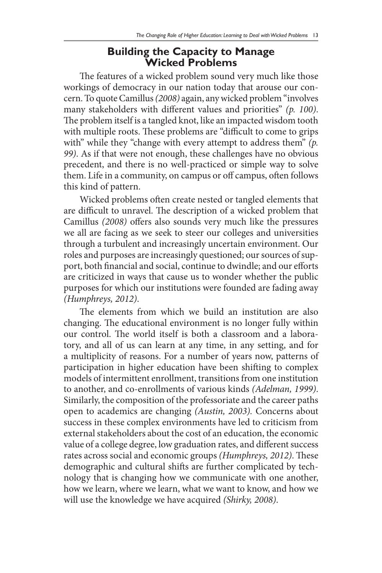#### **Building the Capacity to Manage Wicked Problems**

The features of a wicked problem sound very much like those workings of democracy in our nation today that arouse our concern. To quote Camillus *(2008)* again, any wicked problem "involves many stakeholders with different values and priorities" *(p. 100)*. The problem itself is a tangled knot, like an impacted wisdom tooth with multiple roots. These problems are "difficult to come to grips with" while they "change with every attempt to address them" (p. *99)*. As if that were not enough, these challenges have no obvious precedent, and there is no well-practiced or simple way to solve them. Life in a community, on campus or off campus, often follows this kind of pattern.

Wicked problems often create nested or tangled elements that are difficult to unravel. The description of a wicked problem that Camillus *(2008)* offers also sounds very much like the pressures we all are facing as we seek to steer our colleges and universities through a turbulent and increasingly uncertain environment. Our roles and purposes are increasingly questioned; our sources of support, both financial and social, continue to dwindle; and our efforts are criticized in ways that cause us to wonder whether the public purposes for which our institutions were founded are fading away *(Humphreys, 2012)*.

The elements from which we build an institution are also changing. The educational environment is no longer fully within our control. The world itself is both a classroom and a laboratory, and all of us can learn at any time, in any setting, and for a multiplicity of reasons. For a number of years now, patterns of participation in higher education have been shifting to complex models of intermittent enrollment, transitions from one institution to another, and co-enrollments of various kinds *(Adelman, 1999)*. Similarly, the composition of the professoriate and the career paths open to academics are changing *(Austin, 2003).* Concerns about success in these complex environments have led to criticism from external stakeholders about the cost of an education, the economic value of a college degree, low graduation rates, and different success rates across social and economic groups *(Humphreys, 2012)*. These demographic and cultural shifts are further complicated by technology that is changing how we communicate with one another, how we learn, where we learn, what we want to know, and how we will use the knowledge we have acquired *(Shirky, 2008)*.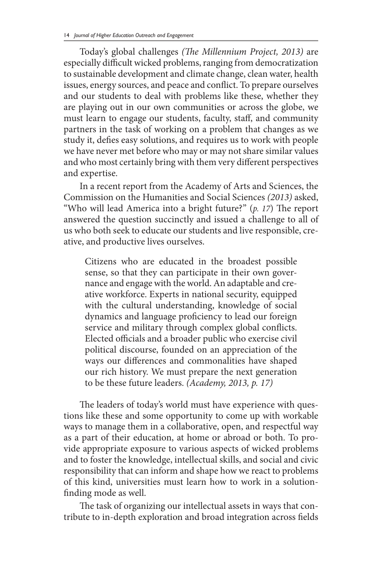Today's global challenges *(The Millennium Project, 2013)* are especially difficult wicked problems, ranging from democratization to sustainable development and climate change, clean water, health issues, energy sources, and peace and conflict. To prepare ourselves and our students to deal with problems like these, whether they are playing out in our own communities or across the globe, we must learn to engage our students, faculty, staff, and community partners in the task of working on a problem that changes as we study it, defies easy solutions, and requires us to work with people we have never met before who may or may not share similar values and who most certainly bring with them very different perspectives and expertise.

In a recent report from the Academy of Arts and Sciences, the Commission on the Humanities and Social Sciences *(2013)* asked, "Who will lead America into a bright future?" (*p. 17*) The report answered the question succinctly and issued a challenge to all of us who both seek to educate our students and live responsible, creative, and productive lives ourselves.

Citizens who are educated in the broadest possible sense, so that they can participate in their own governance and engage with the world. An adaptable and creative workforce. Experts in national security, equipped with the cultural understanding, knowledge of social dynamics and language proficiency to lead our foreign service and military through complex global conflicts. Elected officials and a broader public who exercise civil political discourse, founded on an appreciation of the ways our differences and commonalities have shaped our rich history. We must prepare the next generation to be these future leaders. *(Academy, 2013, p. 17)*

The leaders of today's world must have experience with questions like these and some opportunity to come up with workable ways to manage them in a collaborative, open, and respectful way as a part of their education, at home or abroad or both. To provide appropriate exposure to various aspects of wicked problems and to foster the knowledge, intellectual skills, and social and civic responsibility that can inform and shape how we react to problems of this kind, universities must learn how to work in a solutionfinding mode as well.

The task of organizing our intellectual assets in ways that contribute to in-depth exploration and broad integration across fields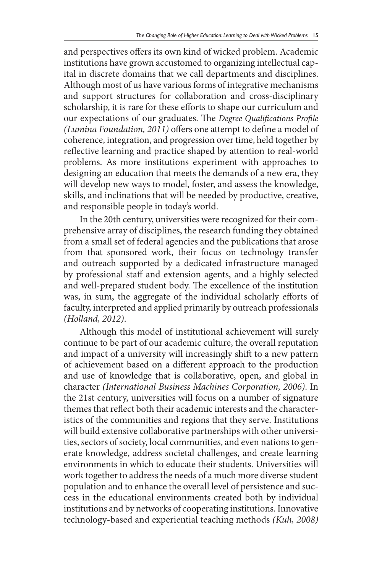and perspectives offers its own kind of wicked problem. Academic institutions have grown accustomed to organizing intellectual capital in discrete domains that we call departments and disciplines. Although most of us have various forms of integrative mechanisms and support structures for collaboration and cross-disciplinary scholarship, it is rare for these efforts to shape our curriculum and our expectations of our graduates. The *Degree Qualifications Profile (Lumina Foundation, 2011)* offers one attempt to define a model of coherence, integration, and progression over time, held together by reflective learning and practice shaped by attention to real-world problems. As more institutions experiment with approaches to designing an education that meets the demands of a new era, they will develop new ways to model, foster, and assess the knowledge, skills, and inclinations that will be needed by productive, creative, and responsible people in today's world.

In the 20th century, universities were recognized for their comprehensive array of disciplines, the research funding they obtained from a small set of federal agencies and the publications that arose from that sponsored work, their focus on technology transfer and outreach supported by a dedicated infrastructure managed by professional staff and extension agents, and a highly selected and well-prepared student body. The excellence of the institution was, in sum, the aggregate of the individual scholarly efforts of faculty, interpreted and applied primarily by outreach professionals *(Holland, 2012)*.

Although this model of institutional achievement will surely continue to be part of our academic culture, the overall reputation and impact of a university will increasingly shift to a new pattern of achievement based on a different approach to the production and use of knowledge that is collaborative, open, and global in character *(International Business Machines Corporation, 2006)*. In the 21st century, universities will focus on a number of signature themes that reflect both their academic interests and the characteristics of the communities and regions that they serve. Institutions will build extensive collaborative partnerships with other universities, sectors of society, local communities, and even nations to generate knowledge, address societal challenges, and create learning environments in which to educate their students. Universities will work together to address the needs of a much more diverse student population and to enhance the overall level of persistence and success in the educational environments created both by individual institutions and by networks of cooperating institutions. Innovative technology-based and experiential teaching methods *(Kuh, 2008)*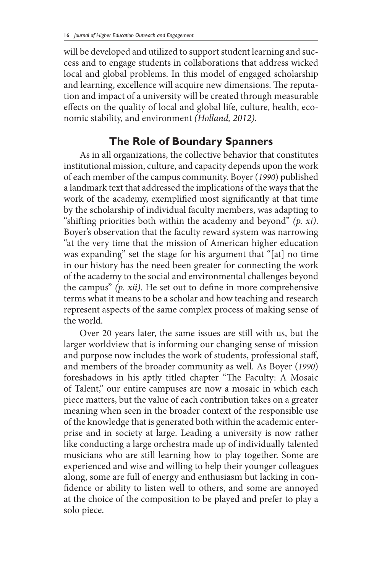will be developed and utilized to support student learning and success and to engage students in collaborations that address wicked local and global problems. In this model of engaged scholarship and learning, excellence will acquire new dimensions. The reputation and impact of a university will be created through measurable effects on the quality of local and global life, culture, health, economic stability, and environment *(Holland, 2012).*

## **The Role of Boundary Spanners**

As in all organizations, the collective behavior that constitutes institutional mission, culture, and capacity depends upon the work of each member of the campus community. Boyer (*1990*) published a landmark text that addressed the implications of the ways that the work of the academy, exemplified most significantly at that time by the scholarship of individual faculty members, was adapting to "shifting priorities both within the academy and beyond" *(p. xi)*. Boyer's observation that the faculty reward system was narrowing "at the very time that the mission of American higher education was expanding" set the stage for his argument that "[at] no time in our history has the need been greater for connecting the work of the academy to the social and environmental challenges beyond the campus" *(p. xii)*. He set out to define in more comprehensive terms what it means to be a scholar and how teaching and research represent aspects of the same complex process of making sense of the world.

Over 20 years later, the same issues are still with us, but the larger worldview that is informing our changing sense of mission and purpose now includes the work of students, professional staff, and members of the broader community as well. As Boyer (*1990*) foreshadows in his aptly titled chapter "The Faculty: A Mosaic of Talent," our entire campuses are now a mosaic in which each piece matters, but the value of each contribution takes on a greater meaning when seen in the broader context of the responsible use of the knowledge that is generated both within the academic enterprise and in society at large. Leading a university is now rather like conducting a large orchestra made up of individually talented musicians who are still learning how to play together. Some are experienced and wise and willing to help their younger colleagues along, some are full of energy and enthusiasm but lacking in confidence or ability to listen well to others, and some are annoyed at the choice of the composition to be played and prefer to play a solo piece.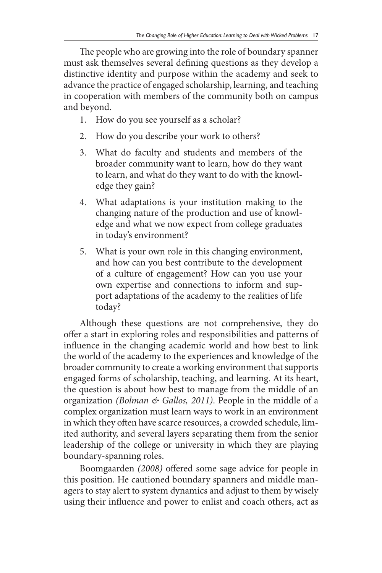The people who are growing into the role of boundary spanner must ask themselves several defining questions as they develop a distinctive identity and purpose within the academy and seek to advance the practice of engaged scholarship, learning, and teaching in cooperation with members of the community both on campus and beyond.

- 1. How do you see yourself as a scholar?
- 2. How do you describe your work to others?
- 3. What do faculty and students and members of the broader community want to learn, how do they want to learn, and what do they want to do with the knowledge they gain?
- 4. What adaptations is your institution making to the changing nature of the production and use of knowledge and what we now expect from college graduates in today's environment?
- 5. What is your own role in this changing environment, and how can you best contribute to the development of a culture of engagement? How can you use your own expertise and connections to inform and support adaptations of the academy to the realities of life today?

Although these questions are not comprehensive, they do offer a start in exploring roles and responsibilities and patterns of influence in the changing academic world and how best to link the world of the academy to the experiences and knowledge of the broader community to create a working environment that supports engaged forms of scholarship, teaching, and learning. At its heart, the question is about how best to manage from the middle of an organization *(Bolman & Gallos, 2011)*. People in the middle of a complex organization must learn ways to work in an environment in which they often have scarce resources, a crowded schedule, limited authority, and several layers separating them from the senior leadership of the college or university in which they are playing boundary-spanning roles.

Boomgaarden *(2008)* offered some sage advice for people in this position. He cautioned boundary spanners and middle managers to stay alert to system dynamics and adjust to them by wisely using their influence and power to enlist and coach others, act as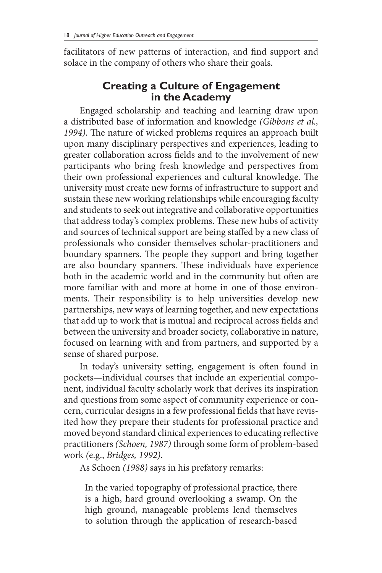facilitators of new patterns of interaction, and find support and solace in the company of others who share their goals.

# **Creating a Culture of Engagement in the Academy**

Engaged scholarship and teaching and learning draw upon a distributed base of information and knowledge *(Gibbons et al., 1994)*. The nature of wicked problems requires an approach built upon many disciplinary perspectives and experiences, leading to greater collaboration across fields and to the involvement of new participants who bring fresh knowledge and perspectives from their own professional experiences and cultural knowledge. The university must create new forms of infrastructure to support and sustain these new working relationships while encouraging faculty and students to seek out integrative and collaborative opportunities that address today's complex problems. These new hubs of activity and sources of technical support are being staffed by a new class of professionals who consider themselves scholar-practitioners and boundary spanners. The people they support and bring together are also boundary spanners. These individuals have experience both in the academic world and in the community but often are more familiar with and more at home in one of those environments. Their responsibility is to help universities develop new partnerships, new ways of learning together, and new expectations that add up to work that is mutual and reciprocal across fields and between the university and broader society, collaborative in nature, focused on learning with and from partners, and supported by a sense of shared purpose.

In today's university setting, engagement is often found in pockets—individual courses that include an experiential component, individual faculty scholarly work that derives its inspiration and questions from some aspect of community experience or concern, curricular designs in a few professional fields that have revisited how they prepare their students for professional practice and moved beyond standard clinical experiences to educating reflective practitioners *(Schoen, 1987)* through some form of problem-based work *(*e.g., *Bridges, 1992)*.

As Schoen *(1988)* says in his prefatory remarks:

In the varied topography of professional practice, there is a high, hard ground overlooking a swamp. On the high ground, manageable problems lend themselves to solution through the application of research-based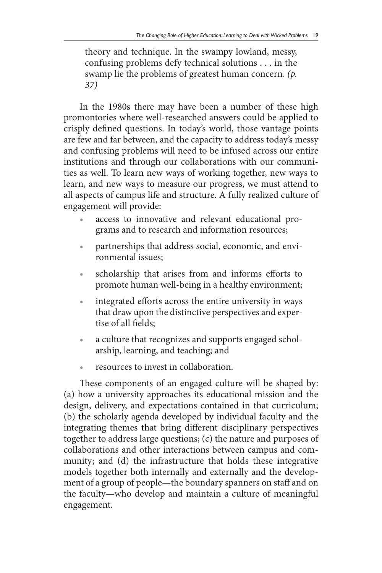theory and technique. In the swampy lowland, messy, confusing problems defy technical solutions . . . in the swamp lie the problems of greatest human concern. *(p. 37)*

In the 1980s there may have been a number of these high promontories where well-researched answers could be applied to crisply defined questions. In today's world, those vantage points are few and far between, and the capacity to address today's messy and confusing problems will need to be infused across our entire institutions and through our collaborations with our communities as well. To learn new ways of working together, new ways to learn, and new ways to measure our progress, we must attend to all aspects of campus life and structure. A fully realized culture of engagement will provide:

- access to innovative and relevant educational programs and to research and information resources;
- partnerships that address social, economic, and environmental issues;
- scholarship that arises from and informs efforts to promote human well-being in a healthy environment;
- integrated efforts across the entire university in ways that draw upon the distinctive perspectives and expertise of all fields;
- a culture that recognizes and supports engaged scholarship, learning, and teaching; and
- resources to invest in collaboration.

These components of an engaged culture will be shaped by: (a) how a university approaches its educational mission and the design, delivery, and expectations contained in that curriculum; (b) the scholarly agenda developed by individual faculty and the integrating themes that bring different disciplinary perspectives together to address large questions; (c) the nature and purposes of collaborations and other interactions between campus and community; and (d) the infrastructure that holds these integrative models together both internally and externally and the development of a group of people—the boundary spanners on staff and on the faculty—who develop and maintain a culture of meaningful engagement.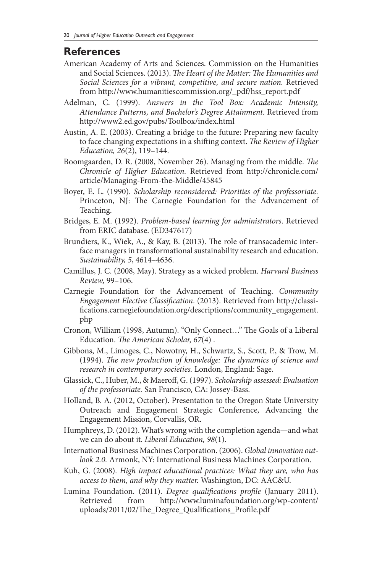#### **References**

- American Academy of Arts and Sciences. Commission on the Humanities and Social Sciences. (2013). *The Heart of the Matter: The Humanities and Social Sciences for a vibrant, competitive, and secure nation.* Retrieved from http://www.humanitiescommission.org/\_pdf/hss\_report.pdf
- Adelman, C. (1999). *Answers in the Tool Box: Academic Intensity, Attendance Patterns, and Bachelor's Degree Attainment*. Retrieved from http://www2.ed.gov/pubs/Toolbox/index.html
- Austin, A. E. (2003). Creating a bridge to the future: Preparing new faculty to face changing expectations in a shifting context. *The Review of Higher Education, 26*(2), 119–144.
- Boomgaarden, D. R. (2008, November 26). Managing from the middle. *The Chronicle of Higher Education.* Retrieved from http://chronicle.com/ article/Managing-From-the-Middle/45845
- Boyer, E. L. (1990). *Scholarship reconsidered: Priorities of the professoriate.* Princeton, NJ: The Carnegie Foundation for the Advancement of Teaching.
- Bridges, E. M. (1992). *Problem-based learning for administrators*. Retrieved from ERIC database. (ED347617)
- Brundiers, K., Wiek, A., & Kay, B. (2013). The role of transacademic interface managers in transformational sustainability research and education. *Sustainability, 5*, 4614–4636.
- Camillus, J. C. (2008, May). Strategy as a wicked problem. *Harvard Business Review,* 99–106.
- Carnegie Foundation for the Advancement of Teaching. *Community Engagement Elective Classification*. (2013). Retrieved from http://classifications.carnegiefoundation.org/descriptions/community\_engagement. php
- Cronon, William (1998, Autumn). "Only Connect…" The Goals of a Liberal Education. *The American Scholar, 67*(4) .
- Gibbons, M., Limoges, C., Nowotny, H., Schwartz, S., Scott, P., & Trow, M. (1994). *The new production of knowledge: The dynamics of science and research in contemporary societies.* London, England: Sage.
- Glassick, C., Huber, M., & Maeroff, G. (1997). *Scholarship assessed: Evaluation of the professoriate.* San Francisco, CA: Jossey-Bass.
- Holland, B. A. (2012, October). Presentation to the Oregon State University Outreach and Engagement Strategic Conference, Advancing the Engagement Mission, Corvallis, OR.
- Humphreys, D. (2012). What's wrong with the completion agenda—and what we can do about it. *Liberal Education, 98*(1).
- International Business Machines Corporation. (2006). *Global innovation outlook 2.0.* Armonk, NY: International Business Machines Corporation.
- Kuh, G. (2008). *High impact educational practices: What they are, who has access to them, and why they matter.* Washington, DC: AAC&U.
- Lumina Foundation. (2011). *Degree qualifications profile* (January 2011). Retrieved from http://www.luminafoundation.org/wp-content/ uploads/2011/02/The\_Degree\_Qualifications\_Profile.pdf